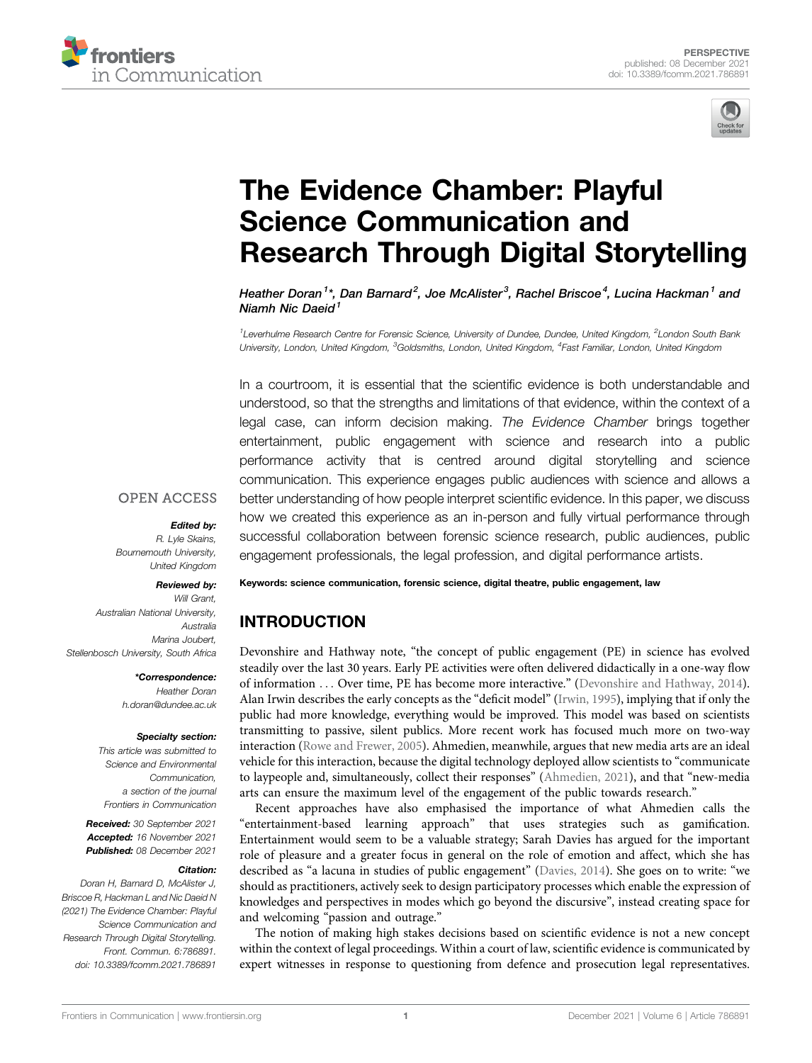



# [The Evidence Chamber: Playful](https://www.frontiersin.org/articles/10.3389/fcomm.2021.786891/full) [Science Communication and](https://www.frontiersin.org/articles/10.3389/fcomm.2021.786891/full) [Research Through Digital Storytelling](https://www.frontiersin.org/articles/10.3389/fcomm.2021.786891/full)

Heather Doran<sup>1</sup>\*, Dan Barnard<sup>2</sup>, Joe McAlister<sup>3</sup>, Rachel Briscoe<sup>4</sup>, Lucina Hackman<sup>1</sup> and Niamh Nic Daeid $<sup>1</sup>$ </sup>

<sup>1</sup>Leverhulme Research Centre for Forensic Science, University of Dundee, Dundee, United Kingdom, <sup>2</sup>London South Bank University, London, United Kingdom, <sup>3</sup>Goldsmiths, London, United Kingdom, <sup>4</sup>Fast Familiar, London, United Kingdom

In a courtroom, it is essential that the scientific evidence is both understandable and understood, so that the strengths and limitations of that evidence, within the context of a legal case, can inform decision making. The Evidence Chamber brings together entertainment, public engagement with science and research into a public performance activity that is centred around digital storytelling and science communication. This experience engages public audiences with science and allows a better understanding of how people interpret scientific evidence. In this paper, we discuss how we created this experience as an in-person and fully virtual performance through successful collaboration between forensic science research, public audiences, public engagement professionals, the legal profession, and digital performance artists.

### **OPEN ACCESS**

#### Edited by:

R. Lyle Skains, Bournemouth University, United Kingdom

## Reviewed by:

Will Grant, Australian National University, Australia Marina Joubert Stellenbosch University, South Africa

\*Correspondence:

Heather Doran [h.doran@dundee.ac.uk](mailto:h.doran@dundee.ac.uk)

### Specialty section:

This article was submitted to Science and Environmental Communication, a section of the journal Frontiers in Communication

Received: 30 September 2021 Accepted: 16 November 2021 Published: 08 December 2021

## Citation:

Doran H, Barnard D, McAlister J, Briscoe R, Hackman L and Nic Daeid N (2021) The Evidence Chamber: Playful Science Communication and Research Through Digital Storytelling. Front. Commun. 6:786891. doi: [10.3389/fcomm.2021.786891](https://doi.org/10.3389/fcomm.2021.786891)

Keywords: science communication, forensic science, digital theatre, public engagement, law

# INTRODUCTION

Devonshire and Hathway note, "the concept of public engagement (PE) in science has evolved steadily over the last 30 years. Early PE activities were often delivered didactically in a one-way flow of information ... Over time, PE has become more interactive." ([Devonshire and Hathway, 2014\)](#page-6-0). Alan Irwin describes the early concepts as the "deficit model" [\(Irwin, 1995](#page-6-1)), implying that if only the public had more knowledge, everything would be improved. This model was based on scientists transmitting to passive, silent publics. More recent work has focused much more on two-way interaction [\(Rowe and Frewer, 2005](#page-6-2)). Ahmedien, meanwhile, argues that new media arts are an ideal vehicle for this interaction, because the digital technology deployed allow scientists to "communicate to laypeople and, simultaneously, collect their responses" ([Ahmedien, 2021](#page-6-3)), and that "new-media arts can ensure the maximum level of the engagement of the public towards research."

Recent approaches have also emphasised the importance of what Ahmedien calls the "entertainment-based learning approach" that uses strategies such as gamification. Entertainment would seem to be a valuable strategy; Sarah Davies has argued for the important role of pleasure and a greater focus in general on the role of emotion and affect, which she has described as "a lacuna in studies of public engagement" ([Davies, 2014\)](#page-6-4). She goes on to write: "we should as practitioners, actively seek to design participatory processes which enable the expression of knowledges and perspectives in modes which go beyond the discursive", instead creating space for and welcoming "passion and outrage."

The notion of making high stakes decisions based on scientific evidence is not a new concept within the context of legal proceedings. Within a court of law, scientific evidence is communicated by expert witnesses in response to questioning from defence and prosecution legal representatives.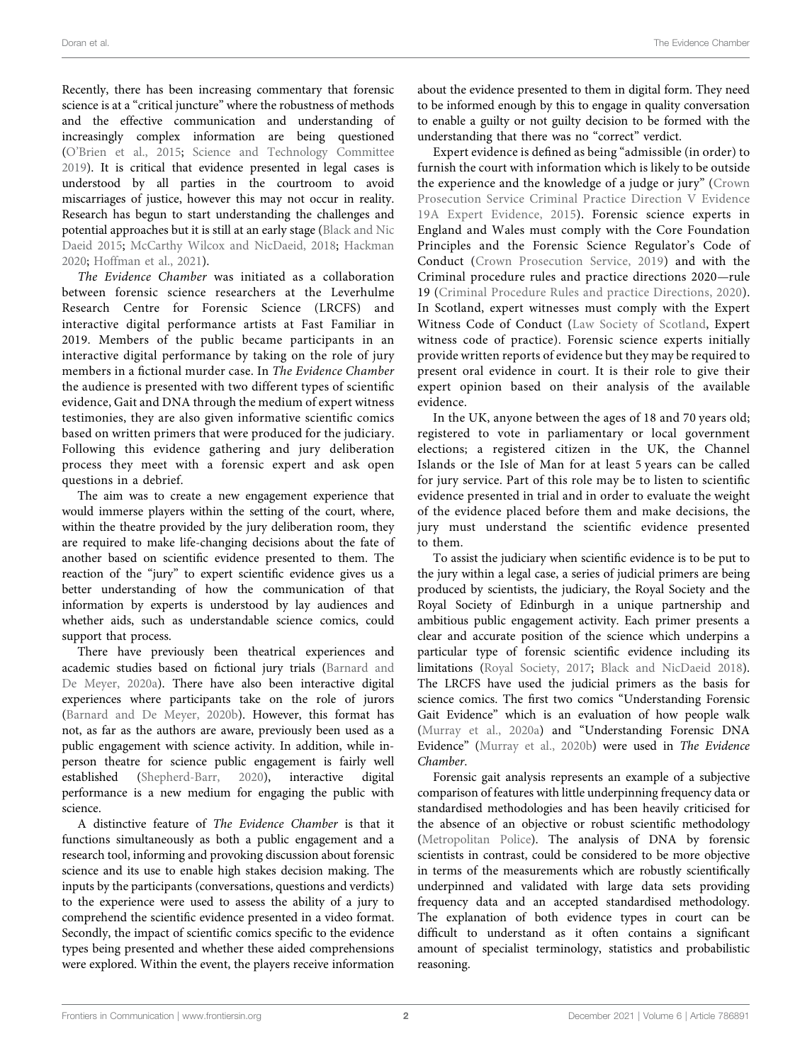Recently, there has been increasing commentary that forensic science is at a "critical juncture" where the robustness of methods and the effective communication and understanding of increasingly complex information are being questioned (O'[Brien et al., 2015;](#page-6-5) [Science and Technology Committee](#page-6-6) [2019](#page-6-6)). It is critical that evidence presented in legal cases is understood by all parties in the courtroom to avoid miscarriages of justice, however this may not occur in reality. Research has begun to start understanding the challenges and potential approaches but it is still at an early stage ([Black and Nic](#page-6-7) [Daeid 2015;](#page-6-7) [McCarthy Wilcox and NicDaeid, 2018](#page-6-8); [Hackman](#page-6-9) [2020](#page-6-9); [Hoffman et al., 2021](#page-6-10)).

The Evidence Chamber was initiated as a collaboration between forensic science researchers at the Leverhulme Research Centre for Forensic Science (LRCFS) and interactive digital performance artists at Fast Familiar in 2019. Members of the public became participants in an interactive digital performance by taking on the role of jury members in a fictional murder case. In The Evidence Chamber the audience is presented with two different types of scientific evidence, Gait and DNA through the medium of expert witness testimonies, they are also given informative scientific comics based on written primers that were produced for the judiciary. Following this evidence gathering and jury deliberation process they meet with a forensic expert and ask open questions in a debrief.

The aim was to create a new engagement experience that would immerse players within the setting of the court, where, within the theatre provided by the jury deliberation room, they are required to make life-changing decisions about the fate of another based on scientific evidence presented to them. The reaction of the "jury" to expert scientific evidence gives us a better understanding of how the communication of that information by experts is understood by lay audiences and whether aids, such as understandable science comics, could support that process.

There have previously been theatrical experiences and academic studies based on fictional jury trials [\(Barnard and](#page-6-11) [De Meyer, 2020a\)](#page-6-11). There have also been interactive digital experiences where participants take on the role of jurors ([Barnard and De Meyer, 2020b\)](#page-6-12). However, this format has not, as far as the authors are aware, previously been used as a public engagement with science activity. In addition, while inperson theatre for science public engagement is fairly well established ([Shepherd-Barr, 2020](#page-6-13)), interactive digital performance is a new medium for engaging the public with science.

A distinctive feature of The Evidence Chamber is that it functions simultaneously as both a public engagement and a research tool, informing and provoking discussion about forensic science and its use to enable high stakes decision making. The inputs by the participants (conversations, questions and verdicts) to the experience were used to assess the ability of a jury to comprehend the scientific evidence presented in a video format. Secondly, the impact of scientific comics specific to the evidence types being presented and whether these aided comprehensions were explored. Within the event, the players receive information

about the evidence presented to them in digital form. They need to be informed enough by this to engage in quality conversation to enable a guilty or not guilty decision to be formed with the understanding that there was no "correct" verdict.

Expert evidence is defined as being "admissible (in order) to furnish the court with information which is likely to be outside the experience and the knowledge of a judge or jury" [\(Crown](#page-6-14) [Prosecution Service Criminal Practice Direction V Evidence](#page-6-14) [19A Expert Evidence, 2015\)](#page-6-14). Forensic science experts in England and Wales must comply with the Core Foundation Principles and the Forensic Science Regulator's Code of Conduct ([Crown Prosecution Service, 2019\)](#page-6-15) and with the Criminal procedure rules and practice directions 2020—rule 19 ([Criminal Procedure Rules and practice Directions, 2020](#page-6-16)). In Scotland, expert witnesses must comply with the Expert Witness Code of Conduct ([Law Society of Scotland,](#page-6-17) Expert witness code of practice). Forensic science experts initially provide written reports of evidence but they may be required to present oral evidence in court. It is their role to give their expert opinion based on their analysis of the available evidence.

In the UK, anyone between the ages of 18 and 70 years old; registered to vote in parliamentary or local government elections; a registered citizen in the UK, the Channel Islands or the Isle of Man for at least 5 years can be called for jury service. Part of this role may be to listen to scientific evidence presented in trial and in order to evaluate the weight of the evidence placed before them and make decisions, the jury must understand the scientific evidence presented to them.

To assist the judiciary when scientific evidence is to be put to the jury within a legal case, a series of judicial primers are being produced by scientists, the judiciary, the Royal Society and the Royal Society of Edinburgh in a unique partnership and ambitious public engagement activity. Each primer presents a clear and accurate position of the science which underpins a particular type of forensic scientific evidence including its limitations [\(Royal Society, 2017;](#page-6-18) [Black and NicDaeid 2018\)](#page-6-19). The LRCFS have used the judicial primers as the basis for science comics. The first two comics "Understanding Forensic Gait Evidence" which is an evaluation of how people walk [\(Murray et al., 2020a\)](#page-6-20) and "Understanding Forensic DNA Evidence" ([Murray et al., 2020b](#page-6-21)) were used in The Evidence Chamber.

Forensic gait analysis represents an example of a subjective comparison of features with little underpinning frequency data or standardised methodologies and has been heavily criticised for the absence of an objective or robust scientific methodology [\(Metropolitan Police](#page-6-22)). The analysis of DNA by forensic scientists in contrast, could be considered to be more objective in terms of the measurements which are robustly scientifically underpinned and validated with large data sets providing frequency data and an accepted standardised methodology. The explanation of both evidence types in court can be difficult to understand as it often contains a significant amount of specialist terminology, statistics and probabilistic reasoning.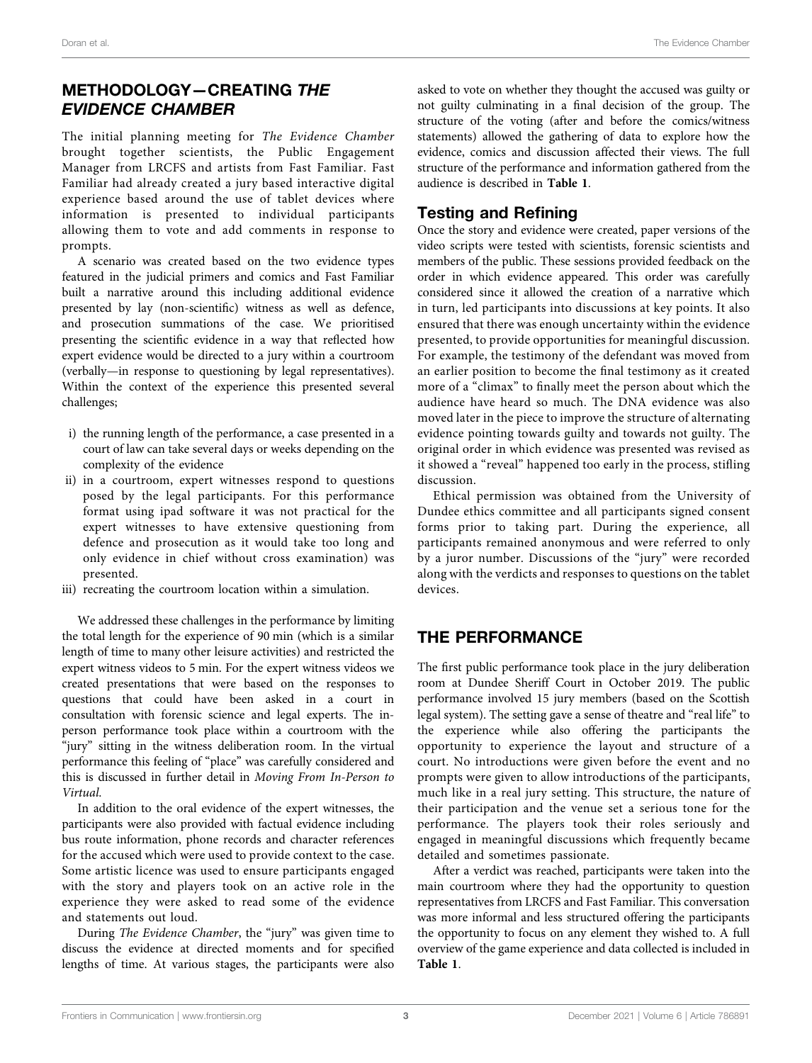# METHODOLOGY—CREATING THE EVIDENCE CHAMBER

The initial planning meeting for The Evidence Chamber brought together scientists, the Public Engagement Manager from LRCFS and artists from Fast Familiar. Fast Familiar had already created a jury based interactive digital experience based around the use of tablet devices where information is presented to individual participants allowing them to vote and add comments in response to prompts.

A scenario was created based on the two evidence types featured in the judicial primers and comics and Fast Familiar built a narrative around this including additional evidence presented by lay (non-scientific) witness as well as defence, and prosecution summations of the case. We prioritised presenting the scientific evidence in a way that reflected how expert evidence would be directed to a jury within a courtroom (verbally—in response to questioning by legal representatives). Within the context of the experience this presented several challenges;

- i) the running length of the performance, a case presented in a court of law can take several days or weeks depending on the complexity of the evidence
- ii) in a courtroom, expert witnesses respond to questions posed by the legal participants. For this performance format using ipad software it was not practical for the expert witnesses to have extensive questioning from defence and prosecution as it would take too long and only evidence in chief without cross examination) was presented.
- iii) recreating the courtroom location within a simulation.

We addressed these challenges in the performance by limiting the total length for the experience of 90 min (which is a similar length of time to many other leisure activities) and restricted the expert witness videos to 5 min. For the expert witness videos we created presentations that were based on the responses to questions that could have been asked in a court in consultation with forensic science and legal experts. The inperson performance took place within a courtroom with the "jury" sitting in the witness deliberation room. In the virtual performance this feeling of "place" was carefully considered and this is discussed in further detail in Moving From In-Person to Virtual.

In addition to the oral evidence of the expert witnesses, the participants were also provided with factual evidence including bus route information, phone records and character references for the accused which were used to provide context to the case. Some artistic licence was used to ensure participants engaged with the story and players took on an active role in the experience they were asked to read some of the evidence and statements out loud.

During The Evidence Chamber, the "jury" was given time to discuss the evidence at directed moments and for specified lengths of time. At various stages, the participants were also asked to vote on whether they thought the accused was guilty or not guilty culminating in a final decision of the group. The structure of the voting (after and before the comics/witness statements) allowed the gathering of data to explore how the evidence, comics and discussion affected their views. The full structure of the performance and information gathered from the audience is described in [Table 1](#page-3-0).

## Testing and Refining

Once the story and evidence were created, paper versions of the video scripts were tested with scientists, forensic scientists and members of the public. These sessions provided feedback on the order in which evidence appeared. This order was carefully considered since it allowed the creation of a narrative which in turn, led participants into discussions at key points. It also ensured that there was enough uncertainty within the evidence presented, to provide opportunities for meaningful discussion. For example, the testimony of the defendant was moved from an earlier position to become the final testimony as it created more of a "climax" to finally meet the person about which the audience have heard so much. The DNA evidence was also moved later in the piece to improve the structure of alternating evidence pointing towards guilty and towards not guilty. The original order in which evidence was presented was revised as it showed a "reveal" happened too early in the process, stifling discussion.

Ethical permission was obtained from the University of Dundee ethics committee and all participants signed consent forms prior to taking part. During the experience, all participants remained anonymous and were referred to only by a juror number. Discussions of the "jury" were recorded along with the verdicts and responses to questions on the tablet devices.

## THE PERFORMANCE

The first public performance took place in the jury deliberation room at Dundee Sheriff Court in October 2019. The public performance involved 15 jury members (based on the Scottish legal system). The setting gave a sense of theatre and "real life" to the experience while also offering the participants the opportunity to experience the layout and structure of a court. No introductions were given before the event and no prompts were given to allow introductions of the participants, much like in a real jury setting. This structure, the nature of their participation and the venue set a serious tone for the performance. The players took their roles seriously and engaged in meaningful discussions which frequently became detailed and sometimes passionate.

After a verdict was reached, participants were taken into the main courtroom where they had the opportunity to question representatives from LRCFS and Fast Familiar. This conversation was more informal and less structured offering the participants the opportunity to focus on any element they wished to. A full overview of the game experience and data collected is included in [Table 1](#page-3-0).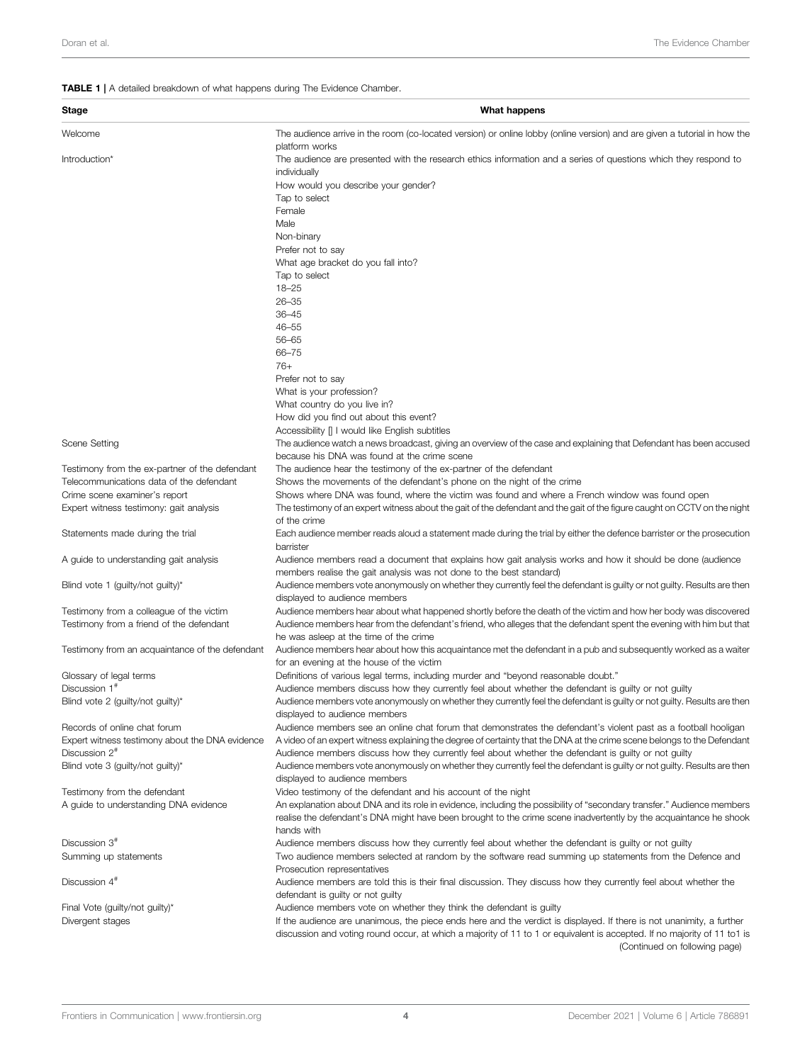## <span id="page-3-0"></span>TABLE 1 | A detailed breakdown of what happens during The Evidence Chamber.

| <b>Stage</b>                                                              | What happens                                                                                                                                                                                                                                                                       |
|---------------------------------------------------------------------------|------------------------------------------------------------------------------------------------------------------------------------------------------------------------------------------------------------------------------------------------------------------------------------|
| Welcome                                                                   | The audience arrive in the room (co-located version) or online lobby (online version) and are given a tutorial in how the                                                                                                                                                          |
| Introduction*                                                             | platform works<br>The audience are presented with the research ethics information and a series of questions which they respond to<br>individually<br>How would you describe your gender?                                                                                           |
|                                                                           | Tap to select                                                                                                                                                                                                                                                                      |
|                                                                           | Female                                                                                                                                                                                                                                                                             |
|                                                                           | Male<br>Non-binary                                                                                                                                                                                                                                                                 |
|                                                                           | Prefer not to say                                                                                                                                                                                                                                                                  |
|                                                                           | What age bracket do you fall into?                                                                                                                                                                                                                                                 |
|                                                                           | Tap to select                                                                                                                                                                                                                                                                      |
|                                                                           | $18 - 25$                                                                                                                                                                                                                                                                          |
|                                                                           | $26 - 35$<br>$36 - 45$                                                                                                                                                                                                                                                             |
|                                                                           | $46 - 55$                                                                                                                                                                                                                                                                          |
|                                                                           | $56 - 65$                                                                                                                                                                                                                                                                          |
|                                                                           | 66-75                                                                                                                                                                                                                                                                              |
|                                                                           | $76+$                                                                                                                                                                                                                                                                              |
|                                                                           | Prefer not to say                                                                                                                                                                                                                                                                  |
|                                                                           | What is your profession?<br>What country do you live in?                                                                                                                                                                                                                           |
|                                                                           | How did you find out about this event?                                                                                                                                                                                                                                             |
|                                                                           | Accessibility   I would like English subtitles                                                                                                                                                                                                                                     |
| Scene Setting                                                             | The audience watch a news broadcast, giving an overview of the case and explaining that Defendant has been accused                                                                                                                                                                 |
|                                                                           | because his DNA was found at the crime scene                                                                                                                                                                                                                                       |
| Testimony from the ex-partner of the defendant                            | The audience hear the testimony of the ex-partner of the defendant                                                                                                                                                                                                                 |
| Telecommunications data of the defendant<br>Crime scene examiner's report | Shows the movements of the defendant's phone on the night of the crime<br>Shows where DNA was found, where the victim was found and where a French window was found open                                                                                                           |
| Expert witness testimony: gait analysis                                   | The testimony of an expert witness about the gait of the defendant and the gait of the figure caught on CCTV on the night<br>of the crime                                                                                                                                          |
| Statements made during the trial                                          | Each audience member reads aloud a statement made during the trial by either the defence barrister or the prosecution<br>barrister                                                                                                                                                 |
| A guide to understanding gait analysis                                    | Audience members read a document that explains how gait analysis works and how it should be done (audience<br>members realise the gait analysis was not done to the best standard)                                                                                                 |
| Blind vote 1 (guilty/not guilty)*                                         | Audience members vote anonymously on whether they currently feel the defendant is guilty or not guilty. Results are then<br>displayed to audience members                                                                                                                          |
| Testimony from a colleague of the victim                                  | Audience members hear about what happened shortly before the death of the victim and how her body was discovered                                                                                                                                                                   |
| Testimony from a friend of the defendant                                  | Audience members hear from the defendant's friend, who alleges that the defendant spent the evening with him but that<br>he was asleep at the time of the crime                                                                                                                    |
| Testimony from an acquaintance of the defendant                           | Audience members hear about how this acquaintance met the defendant in a pub and subsequently worked as a waiter<br>for an evening at the house of the victim                                                                                                                      |
| Glossary of legal terms                                                   | Definitions of various legal terms, including murder and "beyond reasonable doubt."                                                                                                                                                                                                |
| Discussion 1 <sup>#</sup><br>Blind vote 2 (guilty/not guilty)*            | Audience members discuss how they currently feel about whether the defendant is guilty or not guilty<br>Audience members vote anonymously on whether they currently feel the defendant is guilty or not guilty. Results are then                                                   |
|                                                                           | displayed to audience members                                                                                                                                                                                                                                                      |
| Records of online chat forum                                              | Audience members see an online chat forum that demonstrates the defendant's violent past as a football hooligan                                                                                                                                                                    |
| Expert witness testimony about the DNA evidence                           | A video of an expert witness explaining the degree of certainty that the DNA at the crime scene belongs to the Defendant                                                                                                                                                           |
| Discussion 2 <sup>#</sup><br>Blind vote 3 (guilty/not guilty)*            | Audience members discuss how they currently feel about whether the defendant is guilty or not guilty<br>Audience members vote anonymously on whether they currently feel the defendant is guilty or not guilty. Results are then                                                   |
|                                                                           | displayed to audience members                                                                                                                                                                                                                                                      |
| Testimony from the defendant                                              | Video testimony of the defendant and his account of the night                                                                                                                                                                                                                      |
| A guide to understanding DNA evidence                                     | An explanation about DNA and its role in evidence, including the possibility of "secondary transfer." Audience members                                                                                                                                                             |
|                                                                           | realise the defendant's DNA might have been brought to the crime scene inadvertently by the acquaintance he shook<br>hands with                                                                                                                                                    |
| Discussion 3 <sup>#</sup>                                                 | Audience members discuss how they currently feel about whether the defendant is guilty or not guilty                                                                                                                                                                               |
| Summing up statements                                                     | Two audience members selected at random by the software read summing up statements from the Defence and<br>Prosecution representatives                                                                                                                                             |
| Discussion 4 <sup>#</sup>                                                 | Audience members are told this is their final discussion. They discuss how they currently feel about whether the<br>defendant is guilty or not guilty                                                                                                                              |
| Final Vote (guilty/not guilty)*                                           | Audience members vote on whether they think the defendant is guilty                                                                                                                                                                                                                |
| Divergent stages                                                          | If the audience are unanimous, the piece ends here and the verdict is displayed. If there is not unanimity, a further<br>discussion and voting round occur, at which a majority of 11 to 1 or equivalent is accepted. If no majority of 11 to1 is<br>(Continued on following page) |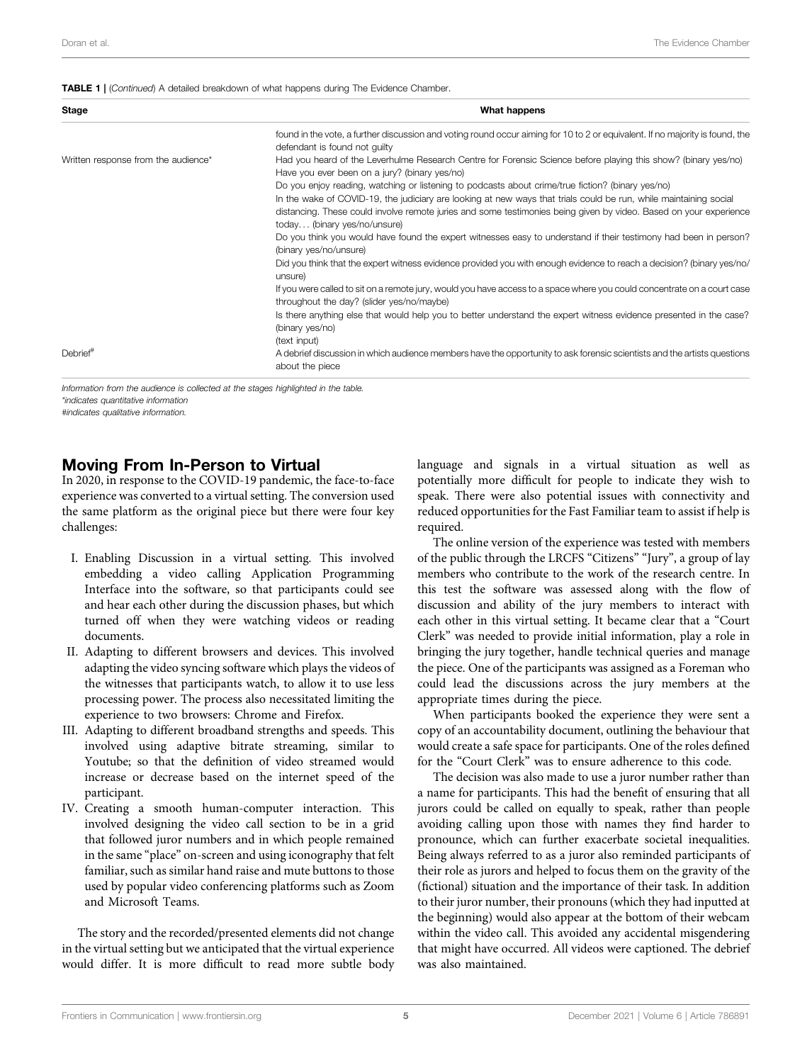#### **TABLE 1** | (Continued) A detailed breakdown of what happens during The Evidence Chamber.

| Stage                               | What happens                                                                                                                                                                                                                                                                                                                                                                |
|-------------------------------------|-----------------------------------------------------------------------------------------------------------------------------------------------------------------------------------------------------------------------------------------------------------------------------------------------------------------------------------------------------------------------------|
|                                     | found in the vote, a further discussion and voting round occur aiming for 10 to 2 or equivalent. If no majority is found, the<br>defendant is found not quilty                                                                                                                                                                                                              |
| Written response from the audience* | Had you heard of the Leverhulme Research Centre for Forensic Science before playing this show? (binary yes/no)<br>Have you ever been on a jury? (binary yes/no)                                                                                                                                                                                                             |
|                                     | Do you enjoy reading, watching or listening to podcasts about crime/true fiction? (binary yes/no)<br>In the wake of COVID-19, the judiciary are looking at new ways that trials could be run, while maintaining social<br>distancing. These could involve remote juries and some testimonies being given by video. Based on your experience<br>today (binary yes/no/unsure) |
|                                     | Do you think you would have found the expert witnesses easy to understand if their testimony had been in person?<br>(binary yes/no/unsure)                                                                                                                                                                                                                                  |
|                                     | Did you think that the expert witness evidence provided you with enough evidence to reach a decision? (binary yes/no/<br>unsure)                                                                                                                                                                                                                                            |
|                                     | If you were called to sit on a remote jury, would you have access to a space where you could concentrate on a court case<br>throughout the day? (slider yes/no/maybe)                                                                                                                                                                                                       |
|                                     | Is there anything else that would help you to better understand the expert witness evidence presented in the case?<br>(binary yes/no)                                                                                                                                                                                                                                       |
| Debrief <sup>#</sup>                | (text input)<br>A debrief discussion in which audience members have the opportunity to ask forensic scientists and the artists questions<br>about the piece                                                                                                                                                                                                                 |

Information from the audience is collected at the stages highlighted in the table.

\*indicates quantitative information

#indicates qualitative information.

## Moving From In-Person to Virtual

In 2020, in response to the COVID-19 pandemic, the face-to-face experience was converted to a virtual setting. The conversion used the same platform as the original piece but there were four key challenges:

- I. Enabling Discussion in a virtual setting. This involved embedding a video calling Application Programming Interface into the software, so that participants could see and hear each other during the discussion phases, but which turned off when they were watching videos or reading documents.
- II. Adapting to different browsers and devices. This involved adapting the video syncing software which plays the videos of the witnesses that participants watch, to allow it to use less processing power. The process also necessitated limiting the experience to two browsers: Chrome and Firefox.
- III. Adapting to different broadband strengths and speeds. This involved using adaptive bitrate streaming, similar to Youtube; so that the definition of video streamed would increase or decrease based on the internet speed of the participant.
- IV. Creating a smooth human-computer interaction. This involved designing the video call section to be in a grid that followed juror numbers and in which people remained in the same "place" on-screen and using iconography that felt familiar, such as similar hand raise and mute buttons to those used by popular video conferencing platforms such as Zoom and Microsoft Teams.

The story and the recorded/presented elements did not change in the virtual setting but we anticipated that the virtual experience would differ. It is more difficult to read more subtle body language and signals in a virtual situation as well as potentially more difficult for people to indicate they wish to speak. There were also potential issues with connectivity and reduced opportunities for the Fast Familiar team to assist if help is required.

The online version of the experience was tested with members of the public through the LRCFS "Citizens" "Jury", a group of lay members who contribute to the work of the research centre. In this test the software was assessed along with the flow of discussion and ability of the jury members to interact with each other in this virtual setting. It became clear that a "Court Clerk" was needed to provide initial information, play a role in bringing the jury together, handle technical queries and manage the piece. One of the participants was assigned as a Foreman who could lead the discussions across the jury members at the appropriate times during the piece.

When participants booked the experience they were sent a copy of an accountability document, outlining the behaviour that would create a safe space for participants. One of the roles defined for the "Court Clerk" was to ensure adherence to this code.

The decision was also made to use a juror number rather than a name for participants. This had the benefit of ensuring that all jurors could be called on equally to speak, rather than people avoiding calling upon those with names they find harder to pronounce, which can further exacerbate societal inequalities. Being always referred to as a juror also reminded participants of their role as jurors and helped to focus them on the gravity of the (fictional) situation and the importance of their task. In addition to their juror number, their pronouns (which they had inputted at the beginning) would also appear at the bottom of their webcam within the video call. This avoided any accidental misgendering that might have occurred. All videos were captioned. The debrief was also maintained.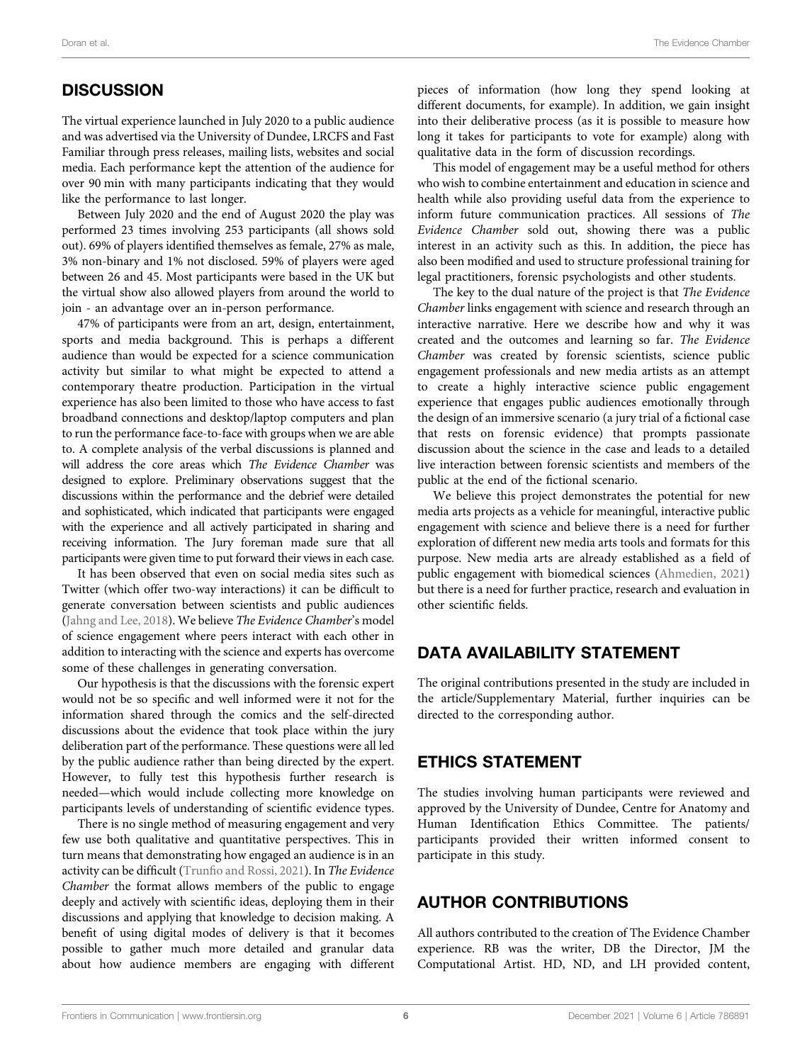# **DISCUSSION**

The virtual experience launched in July 2020 to a public audience and was advertised via the University of Dundee, LRCFS and Fast Familiar through press releases, mailing lists, websites and social media. Each performance kept the attention of the audience for over 90 min with many participants indicating that they would like the performance to last longer.

Between July 2020 and the end of August 2020 the play was performed 23 times involving 253 participants (all shows sold out). 69% of players identified themselves as female, 27% as male, 3% non-binary and 1% not disclosed. 59% of players were aged between 26 and 45. Most participants were based in the UK but the virtual show also allowed players from around the world to join - an advantage over an in-person performance.

47% of participants were from an art, design, entertainment, sports and media background. This is perhaps a different audience than would be expected for a science communication activity but similar to what might be expected to attend a contemporary theatre production. Participation in the virtual experience has also been limited to those who have access to fast broadband connections and desktop/laptop computers and plan to run the performance face-to-face with groups when we are able to. A complete analysis of the verbal discussions is planned and will address the core areas which The Evidence Chamber was designed to explore. Preliminary observations suggest that the discussions within the performance and the debrief were detailed and sophisticated, which indicated that participants were engaged with the experience and all actively participated in sharing and receiving information. The Jury foreman made sure that all participants were given time to put forward their views in each case.

It has been observed that even on social media sites such as Twitter (which offer two-way interactions) it can be difficult to generate conversation between scientists and public audiences ([Jahng and Lee, 2018](#page-6-23)). We believe The Evidence Chamber's model of science engagement where peers interact with each other in addition to interacting with the science and experts has overcome some of these challenges in generating conversation.

Our hypothesis is that the discussions with the forensic expert would not be so specific and well informed were it not for the information shared through the comics and the self-directed discussions about the evidence that took place within the jury deliberation part of the performance. These questions were all led by the public audience rather than being directed by the expert. However, to fully test this hypothesis further research is needed—which would include collecting more knowledge on participants levels of understanding of scientific evidence types.

There is no single method of measuring engagement and very few use both qualitative and quantitative perspectives. This in turn means that demonstrating how engaged an audience is in an activity can be difficult (Trunfi[o and Rossi, 2021](#page-6-24)). In The Evidence Chamber the format allows members of the public to engage deeply and actively with scientific ideas, deploying them in their discussions and applying that knowledge to decision making. A benefit of using digital modes of delivery is that it becomes possible to gather much more detailed and granular data about how audience members are engaging with different pieces of information (how long they spend looking at different documents, for example). In addition, we gain insight into their deliberative process (as it is possible to measure how long it takes for participants to vote for example) along with qualitative data in the form of discussion recordings.

This model of engagement may be a useful method for others who wish to combine entertainment and education in science and health while also providing useful data from the experience to inform future communication practices. All sessions of The Evidence Chamber sold out, showing there was a public interest in an activity such as this. In addition, the piece has also been modified and used to structure professional training for legal practitioners, forensic psychologists and other students.

The key to the dual nature of the project is that The Evidence Chamber links engagement with science and research through an interactive narrative. Here we describe how and why it was created and the outcomes and learning so far. The Evidence Chamber was created by forensic scientists, science public engagement professionals and new media artists as an attempt to create a highly interactive science public engagement experience that engages public audiences emotionally through the design of an immersive scenario (a jury trial of a fictional case that rests on forensic evidence) that prompts passionate discussion about the science in the case and leads to a detailed live interaction between forensic scientists and members of the public at the end of the fictional scenario.

We believe this project demonstrates the potential for new media arts projects as a vehicle for meaningful, interactive public engagement with science and believe there is a need for further exploration of different new media arts tools and formats for this purpose. New media arts are already established as a field of public engagement with biomedical sciences [\(Ahmedien, 2021\)](#page-6-3) but there is a need for further practice, research and evaluation in other scientific fields.

## DATA AVAILABILITY STATEMENT

The original contributions presented in the study are included in the article/Supplementary Material, further inquiries can be directed to the corresponding author.

## ETHICS STATEMENT

The studies involving human participants were reviewed and approved by the University of Dundee, Centre for Anatomy and Human Identification Ethics Committee. The patients/ participants provided their written informed consent to participate in this study.

## AUTHOR CONTRIBUTIONS

All authors contributed to the creation of The Evidence Chamber experience. RB was the writer, DB the Director, JM the Computational Artist. HD, ND, and LH provided content,